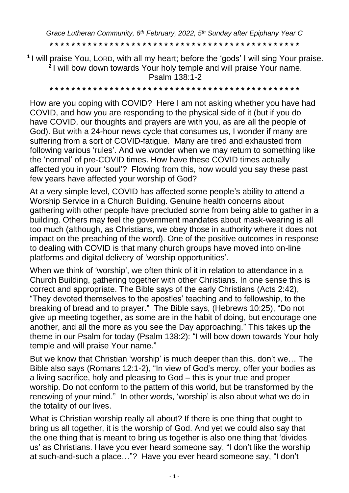*Grace Lutheran Community, 6 th February, 2022, 5 th Sunday after Epiphany Year C*

**\* \* \* \* \* \* \* \* \* \* \* \* \* \* \* \* \* \* \* \* \* \* \* \* \* \* \* \* \* \* \* \* \* \* \* \* \* \* \* \* \* \* \* \* \* \***

**1** I will praise You, LORD, with all my heart; before the 'gods' I will sing Your praise. **2** I will bow down towards Your holy temple and will praise Your name. Psalm 138:1-2

**\* \* \* \* \* \* \* \* \* \* \* \* \* \* \* \* \* \* \* \* \* \* \* \* \* \* \* \* \* \* \* \* \* \* \* \* \* \* \* \* \* \* \* \* \* \***

How are you coping with COVID? Here I am not asking whether you have had COVID, and how you are responding to the physical side of it (but if you do have COVID, our thoughts and prayers are with you, as are all the people of God). But with a 24-hour news cycle that consumes us, I wonder if many are suffering from a sort of COVID-fatigue. Many are tired and exhausted from following various 'rules'. And we wonder when we may return to something like the 'normal' of pre-COVID times. How have these COVID times actually affected you in your 'soul'? Flowing from this, how would you say these past few years have affected your worship of God?

At a very simple level, COVID has affected some people's ability to attend a Worship Service in a Church Building. Genuine health concerns about gathering with other people have precluded some from being able to gather in a building. Others may feel the government mandates about mask-wearing is all too much (although, as Christians, we obey those in authority where it does not impact on the preaching of the word). One of the positive outcomes in response to dealing with COVID is that many church groups have moved into on-line platforms and digital delivery of 'worship opportunities'.

When we think of 'worship', we often think of it in relation to attendance in a Church Building, gathering together with other Christians. In one sense this is correct and appropriate. The Bible says of the early Christians (Acts 2:42), "They devoted themselves to the apostles' teaching and to fellowship, to the breaking of bread and to prayer." The Bible says, (Hebrews 10:25), "Do not give up meeting together, as some are in the habit of doing, but encourage one another, and all the more as you see the Day approaching." This takes up the theme in our Psalm for today (Psalm 138:2): "I will bow down towards Your holy temple and will praise Your name."

But we know that Christian 'worship' is much deeper than this, don't we… The Bible also says (Romans 12:1-2), "In view of God's mercy, offer your bodies as a living sacrifice, holy and pleasing to God – this is your true and proper worship. Do not conform to the pattern of this world, but be transformed by the renewing of your mind." In other words, 'worship' is also about what we do in the totality of our lives.

What is Christian worship really all about? If there is one thing that ought to bring us all together, it is the worship of God. And yet we could also say that the one thing that is meant to bring us together is also one thing that 'divides us' as Christians. Have you ever heard someone say, "I don't like the worship at such-and-such a place…"? Have you ever heard someone say, "I don't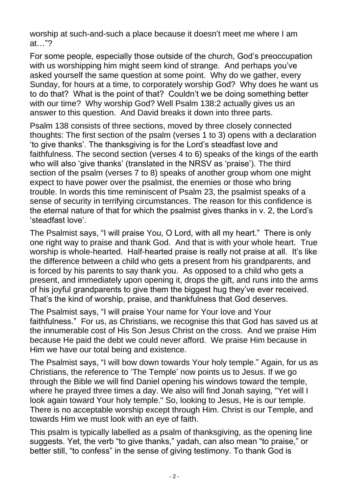worship at such-and-such a place because it doesn't meet me where I am at…"?

For some people, especially those outside of the church, God's preoccupation with us worshipping him might seem kind of strange. And perhaps you've asked yourself the same question at some point. Why do we gather, every Sunday, for hours at a time, to corporately worship God? Why does he want us to do that? What is the point of that? Couldn't we be doing something better with our time? Why worship God? Well Psalm 138:2 actually gives us an answer to this question. And David breaks it down into three parts.

Psalm 138 consists of three sections, moved by three closely connected thoughts: The first section of the psalm (verses 1 to 3) opens with a declaration 'to give thanks'. The thanksgiving is for the Lord's steadfast love and faithfulness. The second section (verses 4 to 6) speaks of the kings of the earth who will also 'give thanks' (translated in the NRSV as 'praise'). The third section of the psalm (verses 7 to 8) speaks of another group whom one might expect to have power over the psalmist, the enemies or those who bring trouble. In words this time reminiscent of Psalm 23, the psalmist speaks of a sense of security in terrifying circumstances. The reason for this confidence is the eternal nature of that for which the psalmist gives thanks in v. 2, the Lord's 'steadfast love'.

The Psalmist says, "I will praise You, O Lord, with all my heart." There is only one right way to praise and thank God. And that is with your whole heart. True worship is whole-hearted. Half-hearted praise is really not praise at all. It's like the difference between a child who gets a present from his grandparents, and is forced by his parents to say thank you. As opposed to a child who gets a present, and immediately upon opening it, drops the gift, and runs into the arms of his joyful grandparents to give them the biggest hug they've ever received. That's the kind of worship, praise, and thankfulness that God deserves.

The Psalmist says, "I will praise Your name for Your love and Your faithfulness." For us, as Christians, we recognise this that God has saved us at the innumerable cost of His Son Jesus Christ on the cross. And we praise Him because He paid the debt we could never afford. We praise Him because in Him we have our total being and existence.

The Psalmist says, "I will bow down towards Your holy temple." Again, for us as Christians, the reference to 'The Temple' now points us to Jesus. If we go through the Bible we will find Daniel opening his windows toward the temple, where he prayed three times a day. We also will find Jonah saying, "Yet will I look again toward Your holy temple." So, looking to Jesus, He is our temple. There is no acceptable worship except through Him. Christ is our Temple, and towards Him we must look with an eye of faith.

This psalm is typically labelled as a psalm of thanksgiving, as the opening line suggests. Yet, the verb "to give thanks," yadah, can also mean "to praise," or better still, "to confess" in the sense of giving testimony. To thank God is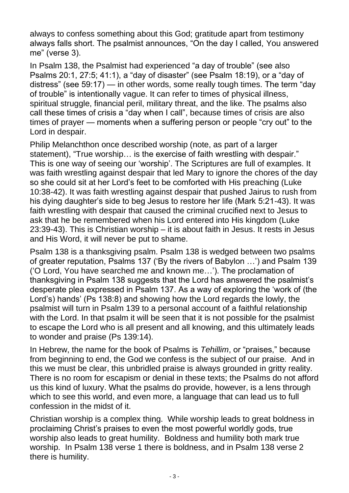always to confess something about this God; gratitude apart from testimony always falls short. The psalmist announces, "On the day I called, You answered me" (verse 3).

In Psalm 138, the Psalmist had experienced "a day of trouble" (see also Psalms 20:1, 27:5; 41:1), a "day of disaster" (see Psalm 18:19), or a "day of distress" (see 59:17) — in other words, some really tough times. The term "day of trouble" is intentionally vague. It can refer to times of physical illness, spiritual struggle, financial peril, military threat, and the like. The psalms also call these times of crisis a "day when I call", because times of crisis are also times of prayer — moments when a suffering person or people "cry out" to the Lord in despair.

Philip Melanchthon once described worship (note, as part of a larger statement), "True worship… is the exercise of faith wrestling with despair." This is one way of seeing our 'worship'. The Scriptures are full of examples. It was faith wrestling against despair that led Mary to ignore the chores of the day so she could sit at her Lord's feet to be comforted with His preaching (Luke 10:38-42). It was faith wrestling against despair that pushed Jairus to rush from his dying daughter's side to beg Jesus to restore her life (Mark 5:21-43). It was faith wrestling with despair that caused the criminal crucified next to Jesus to ask that he be remembered when his Lord entered into His kingdom (Luke 23:39-43). This is Christian worship – it is about faith in Jesus. It rests in Jesus and His Word, it will never be put to shame.

Psalm 138 is a thanksgiving psalm. Psalm 138 is wedged between two psalms of greater reputation, Psalms 137 ('By the rivers of Babylon …') and Psalm 139 ('O Lord, You have searched me and known me…'). The proclamation of thanksgiving in Psalm 138 suggests that the Lord has answered the psalmist's desperate plea expressed in Psalm 137. As a way of exploring the 'work of (the Lord's) hands' (Ps 138:8) and showing how the Lord regards the lowly, the psalmist will turn in Psalm 139 to a personal account of a faithful relationship with the Lord. In that psalm it will be seen that it is not possible for the psalmist to escape the Lord who is all present and all knowing, and this ultimately leads to wonder and praise (Ps 139:14).

In Hebrew, the name for the book of Psalms is *Tehillim*, or "praises," because from beginning to end, the God we confess is the subject of our praise. And in this we must be clear, this unbridled praise is always grounded in gritty reality. There is no room for escapism or denial in these texts; the Psalms do not afford us this kind of luxury. What the psalms do provide, however, is a lens through which to see this world, and even more, a language that can lead us to full confession in the midst of it.

Christian worship is a complex thing. While worship leads to great boldness in proclaiming Christ's praises to even the most powerful worldly gods, true worship also leads to great humility. Boldness and humility both mark true worship. In Psalm 138 verse 1 there is boldness, and in Psalm 138 verse 2 there is humility.